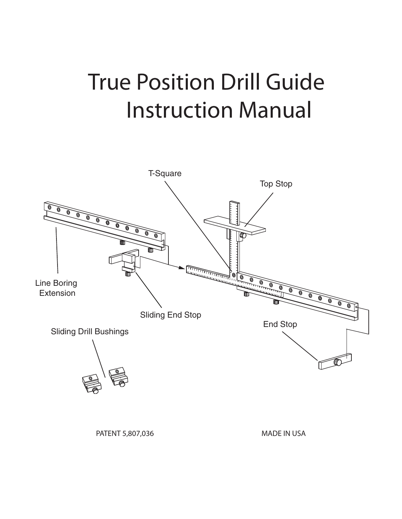# True Position Drill Guide Instruction Manual

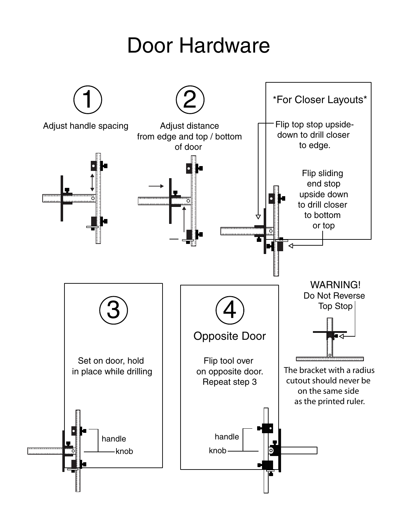## Door Hardware

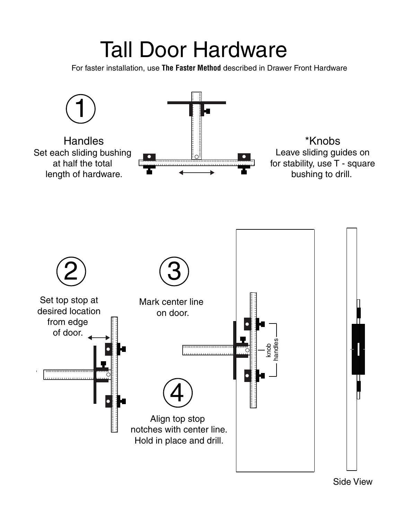# Tall Door Hardware

For faster installation, use **The Faster Method** described in Drawer Front Hardware



Side View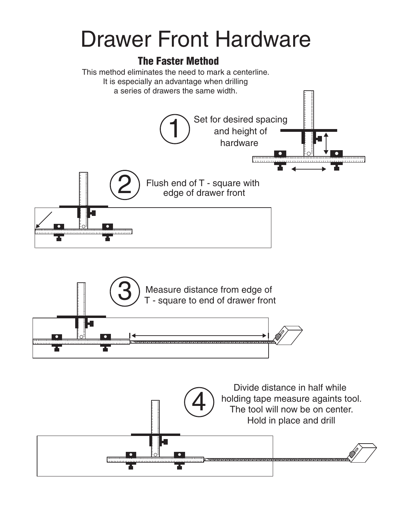# Drawer Front Hardware

### The Faster Method

This method eliminates the need to mark a centerline. It is especially an advantage when drilling a series of drawers the same width.





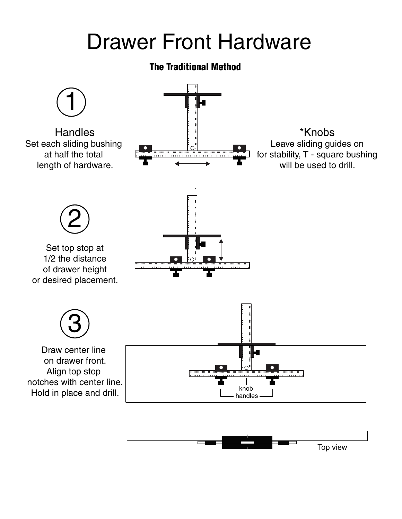# Drawer Front Hardware

### The Traditional Method



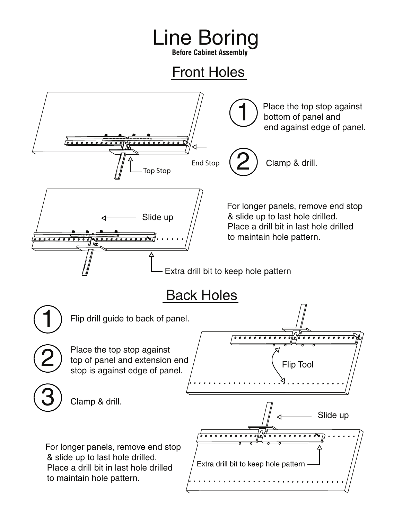# Line Boring

**Before Cabinet Assembly**

### Front Holes

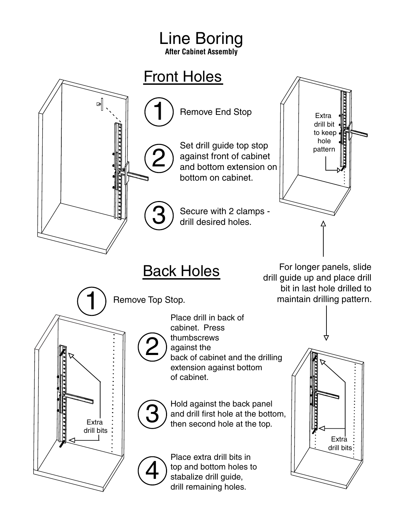### Line Boring **After Cabinet Assembly**



drill remaining holes.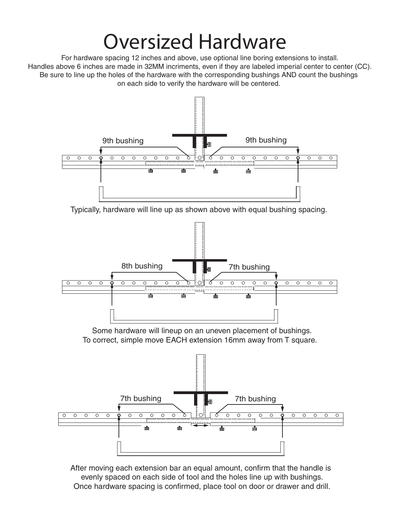## Oversized Hardware

For hardware spacing 12 inches and above, use optional line boring extensions to install. Handles above 6 inches are made in 32MM incriments, even if they are labeled imperial center to center (CC). Be sure to line up the holes of the hardware with the corresponding bushings AND count the bushings on each side to verify the hardware will be centered.



Typically, hardware will line up as shown above with equal bushing spacing.



After moving each extension bar an equal amount, confirm that the handle is evenly spaced on each side of tool and the holes line up with bushings. Once hardware spacing is confirmed, place tool on door or drawer and drill.